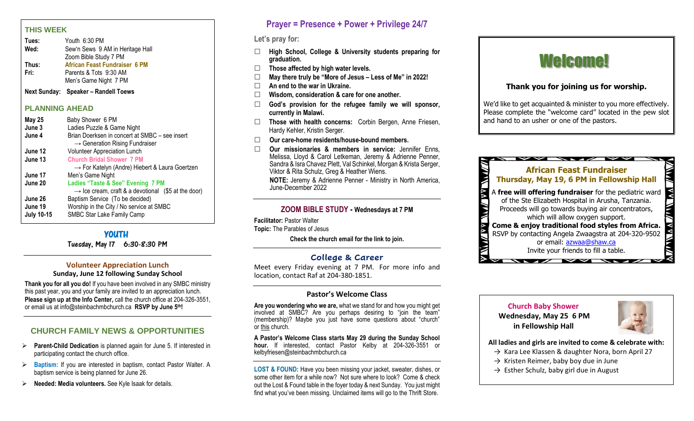#### **THIS WEEK**

| Tues: | Youth 6:30 PM                        |
|-------|--------------------------------------|
| Wed:  | Sew'n Sews 9 AM in Heritage Hall     |
|       | Zoom Bible Study 7 PM                |
| Thus: | <b>African Feast Fundraiser 6 PM</b> |
| Fri:  | Parents & Tots 9:30 AM               |
|       | Men's Game Night 7 PM                |

**Next Sunday: Speaker – Randell Toews**

#### **PLANNING AHEAD**

| <b>May 25</b>     | Baby Shower 6 PM                                                |
|-------------------|-----------------------------------------------------------------|
| June 3            | Ladies Puzzle & Game Night                                      |
| June 4            | Brian Doerksen in concert at SMBC - see insert                  |
|                   | $\rightarrow$ Generation Rising Fundraiser                      |
| June 12           | Volunteer Appreciation Lunch                                    |
| June 13           | <b>Church Bridal Shower 7 PM</b>                                |
|                   | $\rightarrow$ For Katelyn (Andre) Hiebert & Laura Goertzen      |
| June 17           | Men's Game Night                                                |
| June 20           | Ladies "Taste & See" Evening 7 PM                               |
|                   | $\rightarrow$ Ice cream, craft & a devotional (\$5 at the door) |
| June 26           | Baptism Service (To be decided)                                 |
| June 19           | Worship in the City / No service at SMBC                        |
| <b>July 10-15</b> | SMBC Star Lake Family Camp                                      |
|                   |                                                                 |

# **YOUTH**

Tuesday, May 17 6:30-8:30 PM

# **Volunteer Appreciation Lunch**

**Sunday, June 12 following Sunday School**

**Thank you for all you do!** If you have been involved in any SMBC ministry this past year, you and your family are invited to an appreciation lunch. **Please sign up at the Info Center,** call the church office at 204-326-3551, or email us at info@steinbachmbchurch.ca **RSVP by June 5th!**

# **CHURCH FAMILY NEWS & OPPORTUNITIES**

- ➢ **Parent-Child Dedication** is planned again for June 5. If interested in participating contact the church office.
- ➢ **Baptism:** If you are interested in baptism, contact Pastor Walter. A baptism service is being planned for June 26.
- ➢ **Needed: Media volunteers.** See Kyle Isaak for details.

# **Prayer = Presence + Power + Privilege 24/7**

# **Let's pray for:**

- **High School, College & University students preparing for graduation.**
- **Those affected by high water levels.**
- **May there truly be "More of Jesus – Less of Me" in 2022!**
- **An end to the war in Ukraine.**
- **Wisdom, consideration & care for one another.**
- **God's provision for the refugee family we will sponsor, currently in Malawi.**
- **Those with health concerns:** Corbin Bergen, Anne Friesen, Hardy Kehler, Kristin Serger.
- **Our care-home residents/house-bound members.**
- **Our missionaries & members in service:** Jennifer Enns, Melissa, Lloyd & Carol Letkeman, Jeremy & Adrienne Penner, Sandra & Isra Chavez Plett, Val Schinkel, Morgan & Krista Serger, Viktor & Rita Schulz, Greg & Heather Wiens. **NOTE:** Jeremy & Adrienne Penner - Ministry in North America,

June-December 2022

# **ZOOM BIBLE STUDY - Wednesdays at 7 PM**

**Facilitator:** Pastor Walter **Topic:** The Parables of Jesus

**Check the church email for the link to join.**

# **College & Career**

Meet every Friday evening at 7 PM. For more info and location, contact Raf at 204-380-1851.

#### **Pastor's Welcome Class**

**Are you wondering who we are,** what we stand for and how you might get involved at SMBC? Are you perhaps desiring to "join the team" (membership)? Maybe you just have some questions about "church" or this church.

**A Pastor's Welcome Class starts May 29 during the Sunday School hour.** If interested, contact Pastor Kelby at 204-326-3551 or kelbyfriesen@steinbachmbchurch.ca

**LOST & FOUND:** Have you been missing your jacket, sweater, dishes, or some other item for a while now? Not sure where to look? Come & check out the Lost & Found table in the foyer today & next Sunday. You just might find what you've been missing. Unclaimed items will go to the Thrift Store.

# Welcome!

# **Thank you for joining us for worship.**

We'd like to get acquainted & minister to you more effectively. Please complete the "welcome card" located in the pew slot and hand to an usher or one of the pastors.



 **Church Baby Shower Wednesday, May 25 6 PM in Fellowship Hall**



**All ladies and girls are invited to come & celebrate with:**

- → Kara Lee Klassen & daughter Nora, born April 27
- $\rightarrow$  Kristen Reimer, baby boy due in June
- $\rightarrow$  Esther Schulz, baby girl due in August